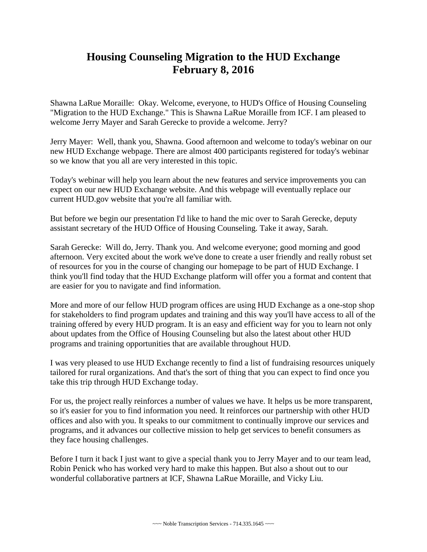## **Housing Counseling Migration to the HUD Exchange February 8, 2016**

Shawna LaRue Moraille: Okay. Welcome, everyone, to HUD's Office of Housing Counseling "Migration to the HUD Exchange." This is Shawna LaRue Moraille from ICF. I am pleased to welcome Jerry Mayer and Sarah Gerecke to provide a welcome. Jerry?

Jerry Mayer: Well, thank you, Shawna. Good afternoon and welcome to today's webinar on our new HUD Exchange webpage. There are almost 400 participants registered for today's webinar so we know that you all are very interested in this topic.

Today's webinar will help you learn about the new features and service improvements you can expect on our new HUD Exchange website. And this webpage will eventually replace our current HUD.gov website that you're all familiar with.

But before we begin our presentation I'd like to hand the mic over to Sarah Gerecke, deputy assistant secretary of the HUD Office of Housing Counseling. Take it away, Sarah.

Sarah Gerecke: Will do, Jerry. Thank you. And welcome everyone; good morning and good afternoon. Very excited about the work we've done to create a user friendly and really robust set of resources for you in the course of changing our homepage to be part of HUD Exchange. I think you'll find today that the HUD Exchange platform will offer you a format and content that are easier for you to navigate and find information.

More and more of our fellow HUD program offices are using HUD Exchange as a one-stop shop for stakeholders to find program updates and training and this way you'll have access to all of the training offered by every HUD program. It is an easy and efficient way for you to learn not only about updates from the Office of Housing Counseling but also the latest about other HUD programs and training opportunities that are available throughout HUD.

I was very pleased to use HUD Exchange recently to find a list of fundraising resources uniquely tailored for rural organizations. And that's the sort of thing that you can expect to find once you take this trip through HUD Exchange today.

For us, the project really reinforces a number of values we have. It helps us be more transparent, so it's easier for you to find information you need. It reinforces our partnership with other HUD offices and also with you. It speaks to our commitment to continually improve our services and programs, and it advances our collective mission to help get services to benefit consumers as they face housing challenges.

Before I turn it back I just want to give a special thank you to Jerry Mayer and to our team lead, Robin Penick who has worked very hard to make this happen. But also a shout out to our wonderful collaborative partners at ICF, Shawna LaRue Moraille, and Vicky Liu.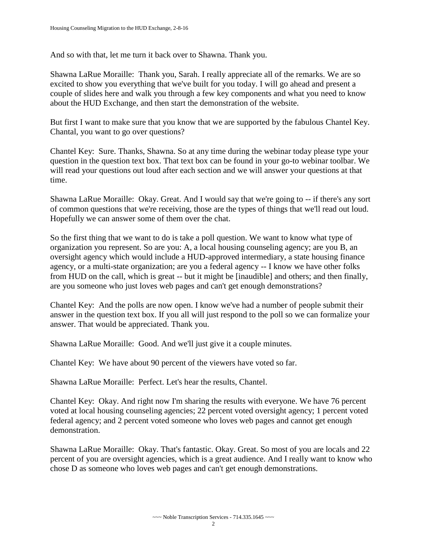And so with that, let me turn it back over to Shawna. Thank you.

Shawna LaRue Moraille: Thank you, Sarah. I really appreciate all of the remarks. We are so excited to show you everything that we've built for you today. I will go ahead and present a couple of slides here and walk you through a few key components and what you need to know about the HUD Exchange, and then start the demonstration of the website.

But first I want to make sure that you know that we are supported by the fabulous Chantel Key. Chantal, you want to go over questions?

Chantel Key: Sure. Thanks, Shawna. So at any time during the webinar today please type your question in the question text box. That text box can be found in your go-to webinar toolbar. We will read your questions out loud after each section and we will answer your questions at that time.

Shawna LaRue Moraille: Okay. Great. And I would say that we're going to -- if there's any sort of common questions that we're receiving, those are the types of things that we'll read out loud. Hopefully we can answer some of them over the chat.

So the first thing that we want to do is take a poll question. We want to know what type of organization you represent. So are you: A, a local housing counseling agency; are you B, an oversight agency which would include a HUD-approved intermediary, a state housing finance agency, or a multi-state organization; are you a federal agency -- I know we have other folks from HUD on the call, which is great -- but it might be [inaudible] and others; and then finally, are you someone who just loves web pages and can't get enough demonstrations?

Chantel Key: And the polls are now open. I know we've had a number of people submit their answer in the question text box. If you all will just respond to the poll so we can formalize your answer. That would be appreciated. Thank you.

Shawna LaRue Moraille: Good. And we'll just give it a couple minutes.

Chantel Key: We have about 90 percent of the viewers have voted so far.

Shawna LaRue Moraille: Perfect. Let's hear the results, Chantel.

Chantel Key: Okay. And right now I'm sharing the results with everyone. We have 76 percent voted at local housing counseling agencies; 22 percent voted oversight agency; 1 percent voted federal agency; and 2 percent voted someone who loves web pages and cannot get enough demonstration.

Shawna LaRue Moraille: Okay. That's fantastic. Okay. Great. So most of you are locals and 22 percent of you are oversight agencies, which is a great audience. And I really want to know who chose D as someone who loves web pages and can't get enough demonstrations.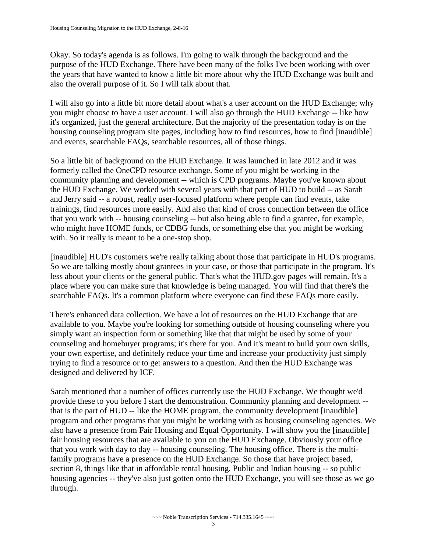Okay. So today's agenda is as follows. I'm going to walk through the background and the purpose of the HUD Exchange. There have been many of the folks I've been working with over the years that have wanted to know a little bit more about why the HUD Exchange was built and also the overall purpose of it. So I will talk about that.

I will also go into a little bit more detail about what's a user account on the HUD Exchange; why you might choose to have a user account. I will also go through the HUD Exchange -- like how it's organized, just the general architecture. But the majority of the presentation today is on the housing counseling program site pages, including how to find resources, how to find [inaudible] and events, searchable FAQs, searchable resources, all of those things.

So a little bit of background on the HUD Exchange. It was launched in late 2012 and it was formerly called the OneCPD resource exchange. Some of you might be working in the community planning and development -- which is CPD programs. Maybe you've known about the HUD Exchange. We worked with several years with that part of HUD to build -- as Sarah and Jerry said -- a robust, really user-focused platform where people can find events, take trainings, find resources more easily. And also that kind of cross connection between the office that you work with -- housing counseling -- but also being able to find a grantee, for example, who might have HOME funds, or CDBG funds, or something else that you might be working with. So it really is meant to be a one-stop shop.

[inaudible] HUD's customers we're really talking about those that participate in HUD's programs. So we are talking mostly about grantees in your case, or those that participate in the program. It's less about your clients or the general public. That's what the HUD.gov pages will remain. It's a place where you can make sure that knowledge is being managed. You will find that there's the searchable FAQs. It's a common platform where everyone can find these FAQs more easily.

There's enhanced data collection. We have a lot of resources on the HUD Exchange that are available to you. Maybe you're looking for something outside of housing counseling where you simply want an inspection form or something like that that might be used by some of your counseling and homebuyer programs; it's there for you. And it's meant to build your own skills, your own expertise, and definitely reduce your time and increase your productivity just simply trying to find a resource or to get answers to a question. And then the HUD Exchange was designed and delivered by ICF.

Sarah mentioned that a number of offices currently use the HUD Exchange. We thought we'd provide these to you before I start the demonstration. Community planning and development - that is the part of HUD -- like the HOME program, the community development [inaudible] program and other programs that you might be working with as housing counseling agencies. We also have a presence from Fair Housing and Equal Opportunity. I will show you the [inaudible] fair housing resources that are available to you on the HUD Exchange. Obviously your office that you work with day to day -- housing counseling. The housing office. There is the multifamily programs have a presence on the HUD Exchange. So those that have project based, section 8, things like that in affordable rental housing. Public and Indian housing -- so public housing agencies -- they've also just gotten onto the HUD Exchange, you will see those as we go through.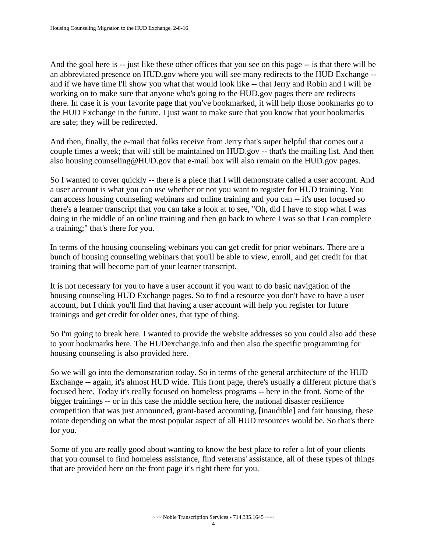And the goal here is -- just like these other offices that you see on this page -- is that there will be an abbreviated presence on HUD.gov where you will see many redirects to the HUD Exchange - and if we have time I'll show you what that would look like -- that Jerry and Robin and I will be working on to make sure that anyone who's going to the HUD.gov pages there are redirects there. In case it is your favorite page that you've bookmarked, it will help those bookmarks go to the HUD Exchange in the future. I just want to make sure that you know that your bookmarks are safe; they will be redirected.

And then, finally, the e-mail that folks receive from Jerry that's super helpful that comes out a couple times a week; that will still be maintained on HUD.gov -- that's the mailing list. And then also housing.counseling@HUD.gov that e-mail box will also remain on the HUD.gov pages.

So I wanted to cover quickly -- there is a piece that I will demonstrate called a user account. And a user account is what you can use whether or not you want to register for HUD training. You can access housing counseling webinars and online training and you can -- it's user focused so there's a learner transcript that you can take a look at to see, "Oh, did I have to stop what I was doing in the middle of an online training and then go back to where I was so that I can complete a training;" that's there for you.

In terms of the housing counseling webinars you can get credit for prior webinars. There are a bunch of housing counseling webinars that you'll be able to view, enroll, and get credit for that training that will become part of your learner transcript.

It is not necessary for you to have a user account if you want to do basic navigation of the housing counseling HUD Exchange pages. So to find a resource you don't have to have a user account, but I think you'll find that having a user account will help you register for future trainings and get credit for older ones, that type of thing.

So I'm going to break here. I wanted to provide the website addresses so you could also add these to your bookmarks here. The HUDexchange.info and then also the specific programming for housing counseling is also provided here.

So we will go into the demonstration today. So in terms of the general architecture of the HUD Exchange -- again, it's almost HUD wide. This front page, there's usually a different picture that's focused here. Today it's really focused on homeless programs -- here in the front. Some of the bigger trainings -- or in this case the middle section here, the national disaster resilience competition that was just announced, grant-based accounting, [inaudible] and fair housing, these rotate depending on what the most popular aspect of all HUD resources would be. So that's there for you.

Some of you are really good about wanting to know the best place to refer a lot of your clients that you counsel to find homeless assistance, find veterans' assistance, all of these types of things that are provided here on the front page it's right there for you.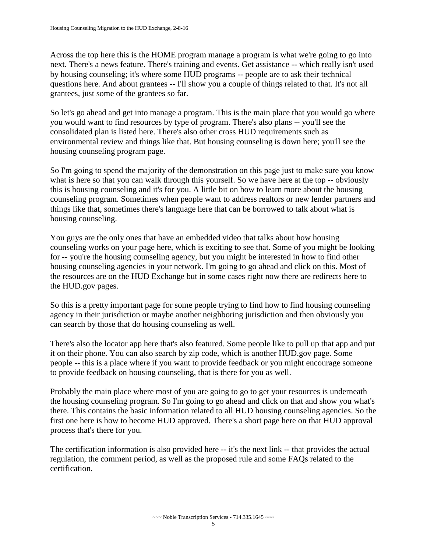Across the top here this is the HOME program manage a program is what we're going to go into next. There's a news feature. There's training and events. Get assistance -- which really isn't used by housing counseling; it's where some HUD programs -- people are to ask their technical questions here. And about grantees -- I'll show you a couple of things related to that. It's not all grantees, just some of the grantees so far.

So let's go ahead and get into manage a program. This is the main place that you would go where you would want to find resources by type of program. There's also plans -- you'll see the consolidated plan is listed here. There's also other cross HUD requirements such as environmental review and things like that. But housing counseling is down here; you'll see the housing counseling program page.

So I'm going to spend the majority of the demonstration on this page just to make sure you know what is here so that you can walk through this yourself. So we have here at the top -- obviously this is housing counseling and it's for you. A little bit on how to learn more about the housing counseling program. Sometimes when people want to address realtors or new lender partners and things like that, sometimes there's language here that can be borrowed to talk about what is housing counseling.

You guys are the only ones that have an embedded video that talks about how housing counseling works on your page here, which is exciting to see that. Some of you might be looking for -- you're the housing counseling agency, but you might be interested in how to find other housing counseling agencies in your network. I'm going to go ahead and click on this. Most of the resources are on the HUD Exchange but in some cases right now there are redirects here to the HUD.gov pages.

So this is a pretty important page for some people trying to find how to find housing counseling agency in their jurisdiction or maybe another neighboring jurisdiction and then obviously you can search by those that do housing counseling as well.

There's also the locator app here that's also featured. Some people like to pull up that app and put it on their phone. You can also search by zip code, which is another HUD.gov page. Some people -- this is a place where if you want to provide feedback or you might encourage someone to provide feedback on housing counseling, that is there for you as well.

Probably the main place where most of you are going to go to get your resources is underneath the housing counseling program. So I'm going to go ahead and click on that and show you what's there. This contains the basic information related to all HUD housing counseling agencies. So the first one here is how to become HUD approved. There's a short page here on that HUD approval process that's there for you.

The certification information is also provided here -- it's the next link -- that provides the actual regulation, the comment period, as well as the proposed rule and some FAQs related to the certification.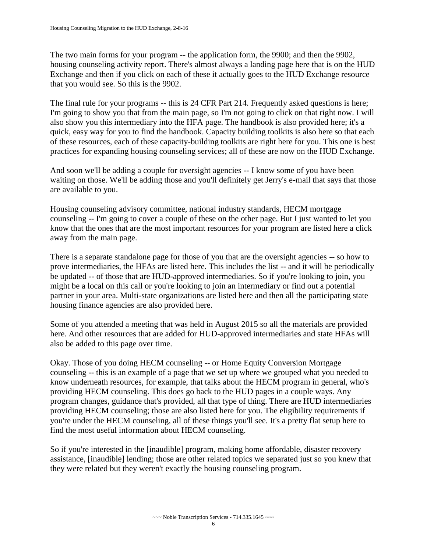The two main forms for your program -- the application form, the 9900; and then the 9902, housing counseling activity report. There's almost always a landing page here that is on the HUD Exchange and then if you click on each of these it actually goes to the HUD Exchange resource that you would see. So this is the 9902.

The final rule for your programs -- this is 24 CFR Part 214. Frequently asked questions is here; I'm going to show you that from the main page, so I'm not going to click on that right now. I will also show you this intermediary into the HFA page. The handbook is also provided here; it's a quick, easy way for you to find the handbook. Capacity building toolkits is also here so that each of these resources, each of these capacity-building toolkits are right here for you. This one is best practices for expanding housing counseling services; all of these are now on the HUD Exchange.

And soon we'll be adding a couple for oversight agencies -- I know some of you have been waiting on those. We'll be adding those and you'll definitely get Jerry's e-mail that says that those are available to you.

Housing counseling advisory committee, national industry standards, HECM mortgage counseling -- I'm going to cover a couple of these on the other page. But I just wanted to let you know that the ones that are the most important resources for your program are listed here a click away from the main page.

There is a separate standalone page for those of you that are the oversight agencies -- so how to prove intermediaries, the HFAs are listed here. This includes the list -- and it will be periodically be updated -- of those that are HUD-approved intermediaries. So if you're looking to join, you might be a local on this call or you're looking to join an intermediary or find out a potential partner in your area. Multi-state organizations are listed here and then all the participating state housing finance agencies are also provided here.

Some of you attended a meeting that was held in August 2015 so all the materials are provided here. And other resources that are added for HUD-approved intermediaries and state HFAs will also be added to this page over time.

Okay. Those of you doing HECM counseling -- or Home Equity Conversion Mortgage counseling -- this is an example of a page that we set up where we grouped what you needed to know underneath resources, for example, that talks about the HECM program in general, who's providing HECM counseling. This does go back to the HUD pages in a couple ways. Any program changes, guidance that's provided, all that type of thing. There are HUD intermediaries providing HECM counseling; those are also listed here for you. The eligibility requirements if you're under the HECM counseling, all of these things you'll see. It's a pretty flat setup here to find the most useful information about HECM counseling.

So if you're interested in the [inaudible] program, making home affordable, disaster recovery assistance, [inaudible] lending; those are other related topics we separated just so you knew that they were related but they weren't exactly the housing counseling program.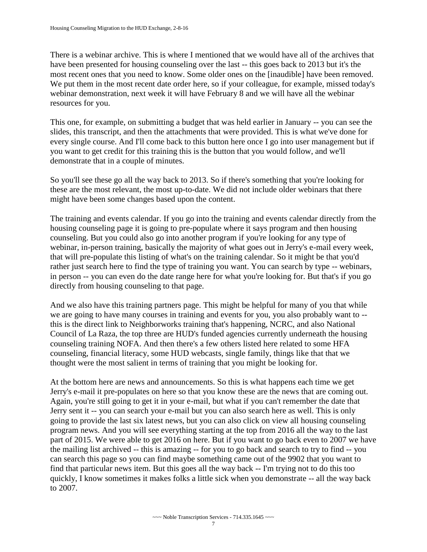There is a webinar archive. This is where I mentioned that we would have all of the archives that have been presented for housing counseling over the last -- this goes back to 2013 but it's the most recent ones that you need to know. Some older ones on the [inaudible] have been removed. We put them in the most recent date order here, so if your colleague, for example, missed today's webinar demonstration, next week it will have February 8 and we will have all the webinar resources for you.

This one, for example, on submitting a budget that was held earlier in January -- you can see the slides, this transcript, and then the attachments that were provided. This is what we've done for every single course. And I'll come back to this button here once I go into user management but if you want to get credit for this training this is the button that you would follow, and we'll demonstrate that in a couple of minutes.

So you'll see these go all the way back to 2013. So if there's something that you're looking for these are the most relevant, the most up-to-date. We did not include older webinars that there might have been some changes based upon the content.

The training and events calendar. If you go into the training and events calendar directly from the housing counseling page it is going to pre-populate where it says program and then housing counseling. But you could also go into another program if you're looking for any type of webinar, in-person training, basically the majority of what goes out in Jerry's e-mail every week, that will pre-populate this listing of what's on the training calendar. So it might be that you'd rather just search here to find the type of training you want. You can search by type -- webinars, in person -- you can even do the date range here for what you're looking for. But that's if you go directly from housing counseling to that page.

And we also have this training partners page. This might be helpful for many of you that while we are going to have many courses in training and events for you, you also probably want to - this is the direct link to Neighborworks training that's happening, NCRC, and also National Council of La Raza, the top three are HUD's funded agencies currently underneath the housing counseling training NOFA. And then there's a few others listed here related to some HFA counseling, financial literacy, some HUD webcasts, single family, things like that that we thought were the most salient in terms of training that you might be looking for.

At the bottom here are news and announcements. So this is what happens each time we get Jerry's e-mail it pre-populates on here so that you know these are the news that are coming out. Again, you're still going to get it in your e-mail, but what if you can't remember the date that Jerry sent it -- you can search your e-mail but you can also search here as well. This is only going to provide the last six latest news, but you can also click on view all housing counseling program news. And you will see everything starting at the top from 2016 all the way to the last part of 2015. We were able to get 2016 on here. But if you want to go back even to 2007 we have the mailing list archived -- this is amazing -- for you to go back and search to try to find -- you can search this page so you can find maybe something came out of the 9902 that you want to find that particular news item. But this goes all the way back -- I'm trying not to do this too quickly, I know sometimes it makes folks a little sick when you demonstrate -- all the way back to 2007.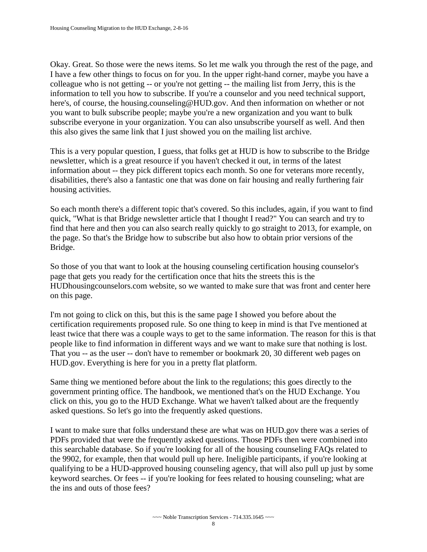Okay. Great. So those were the news items. So let me walk you through the rest of the page, and I have a few other things to focus on for you. In the upper right-hand corner, maybe you have a colleague who is not getting -- or you're not getting -- the mailing list from Jerry, this is the information to tell you how to subscribe. If you're a counselor and you need technical support, here's, of course, the housing.counseling@HUD.gov. And then information on whether or not you want to bulk subscribe people; maybe you're a new organization and you want to bulk subscribe everyone in your organization. You can also unsubscribe yourself as well. And then this also gives the same link that I just showed you on the mailing list archive.

This is a very popular question, I guess, that folks get at HUD is how to subscribe to the Bridge newsletter, which is a great resource if you haven't checked it out, in terms of the latest information about -- they pick different topics each month. So one for veterans more recently, disabilities, there's also a fantastic one that was done on fair housing and really furthering fair housing activities.

So each month there's a different topic that's covered. So this includes, again, if you want to find quick, "What is that Bridge newsletter article that I thought I read?" You can search and try to find that here and then you can also search really quickly to go straight to 2013, for example, on the page. So that's the Bridge how to subscribe but also how to obtain prior versions of the Bridge.

So those of you that want to look at the housing counseling certification housing counselor's page that gets you ready for the certification once that hits the streets this is the HUDhousingcounselors.com website, so we wanted to make sure that was front and center here on this page.

I'm not going to click on this, but this is the same page I showed you before about the certification requirements proposed rule. So one thing to keep in mind is that I've mentioned at least twice that there was a couple ways to get to the same information. The reason for this is that people like to find information in different ways and we want to make sure that nothing is lost. That you -- as the user -- don't have to remember or bookmark 20, 30 different web pages on HUD.gov. Everything is here for you in a pretty flat platform.

Same thing we mentioned before about the link to the regulations; this goes directly to the government printing office. The handbook, we mentioned that's on the HUD Exchange. You click on this, you go to the HUD Exchange. What we haven't talked about are the frequently asked questions. So let's go into the frequently asked questions.

I want to make sure that folks understand these are what was on HUD.gov there was a series of PDFs provided that were the frequently asked questions. Those PDFs then were combined into this searchable database. So if you're looking for all of the housing counseling FAQs related to the 9902, for example, then that would pull up here. Ineligible participants, if you're looking at qualifying to be a HUD-approved housing counseling agency, that will also pull up just by some keyword searches. Or fees -- if you're looking for fees related to housing counseling; what are the ins and outs of those fees?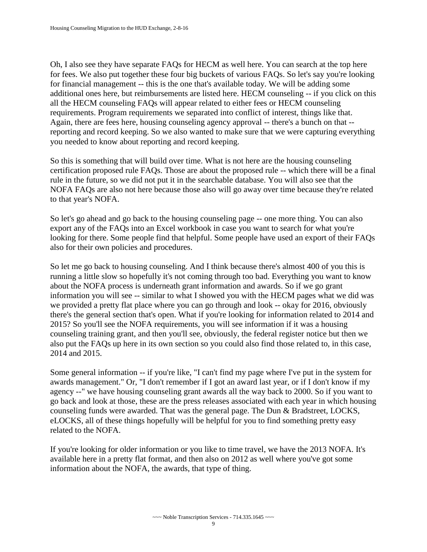Oh, I also see they have separate FAQs for HECM as well here. You can search at the top here for fees. We also put together these four big buckets of various FAQs. So let's say you're looking for financial management -- this is the one that's available today. We will be adding some additional ones here, but reimbursements are listed here. HECM counseling -- if you click on this all the HECM counseling FAQs will appear related to either fees or HECM counseling requirements. Program requirements we separated into conflict of interest, things like that. Again, there are fees here, housing counseling agency approval -- there's a bunch on that - reporting and record keeping. So we also wanted to make sure that we were capturing everything you needed to know about reporting and record keeping.

So this is something that will build over time. What is not here are the housing counseling certification proposed rule FAQs. Those are about the proposed rule -- which there will be a final rule in the future, so we did not put it in the searchable database. You will also see that the NOFA FAQs are also not here because those also will go away over time because they're related to that year's NOFA.

So let's go ahead and go back to the housing counseling page -- one more thing. You can also export any of the FAQs into an Excel workbook in case you want to search for what you're looking for there. Some people find that helpful. Some people have used an export of their FAQs also for their own policies and procedures.

So let me go back to housing counseling. And I think because there's almost 400 of you this is running a little slow so hopefully it's not coming through too bad. Everything you want to know about the NOFA process is underneath grant information and awards. So if we go grant information you will see -- similar to what I showed you with the HECM pages what we did was we provided a pretty flat place where you can go through and look -- okay for 2016, obviously there's the general section that's open. What if you're looking for information related to 2014 and 2015? So you'll see the NOFA requirements, you will see information if it was a housing counseling training grant, and then you'll see, obviously, the federal register notice but then we also put the FAQs up here in its own section so you could also find those related to, in this case, 2014 and 2015.

Some general information -- if you're like, "I can't find my page where I've put in the system for awards management." Or, "I don't remember if I got an award last year, or if I don't know if my agency --" we have housing counseling grant awards all the way back to 2000. So if you want to go back and look at those, these are the press releases associated with each year in which housing counseling funds were awarded. That was the general page. The Dun & Bradstreet, LOCKS, eLOCKS, all of these things hopefully will be helpful for you to find something pretty easy related to the NOFA.

If you're looking for older information or you like to time travel, we have the 2013 NOFA. It's available here in a pretty flat format, and then also on 2012 as well where you've got some information about the NOFA, the awards, that type of thing.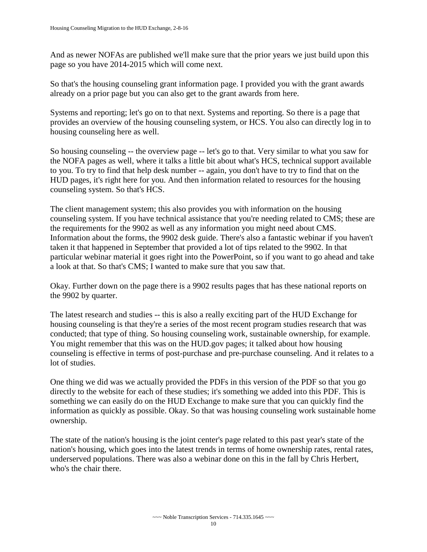And as newer NOFAs are published we'll make sure that the prior years we just build upon this page so you have 2014-2015 which will come next.

So that's the housing counseling grant information page. I provided you with the grant awards already on a prior page but you can also get to the grant awards from here.

Systems and reporting; let's go on to that next. Systems and reporting. So there is a page that provides an overview of the housing counseling system, or HCS. You also can directly log in to housing counseling here as well.

So housing counseling -- the overview page -- let's go to that. Very similar to what you saw for the NOFA pages as well, where it talks a little bit about what's HCS, technical support available to you. To try to find that help desk number -- again, you don't have to try to find that on the HUD pages, it's right here for you. And then information related to resources for the housing counseling system. So that's HCS.

The client management system; this also provides you with information on the housing counseling system. If you have technical assistance that you're needing related to CMS; these are the requirements for the 9902 as well as any information you might need about CMS. Information about the forms, the 9902 desk guide. There's also a fantastic webinar if you haven't taken it that happened in September that provided a lot of tips related to the 9902. In that particular webinar material it goes right into the PowerPoint, so if you want to go ahead and take a look at that. So that's CMS; I wanted to make sure that you saw that.

Okay. Further down on the page there is a 9902 results pages that has these national reports on the 9902 by quarter.

The latest research and studies -- this is also a really exciting part of the HUD Exchange for housing counseling is that they're a series of the most recent program studies research that was conducted; that type of thing. So housing counseling work, sustainable ownership, for example. You might remember that this was on the HUD.gov pages; it talked about how housing counseling is effective in terms of post-purchase and pre-purchase counseling. And it relates to a lot of studies.

One thing we did was we actually provided the PDFs in this version of the PDF so that you go directly to the website for each of these studies; it's something we added into this PDF. This is something we can easily do on the HUD Exchange to make sure that you can quickly find the information as quickly as possible. Okay. So that was housing counseling work sustainable home ownership.

The state of the nation's housing is the joint center's page related to this past year's state of the nation's housing, which goes into the latest trends in terms of home ownership rates, rental rates, underserved populations. There was also a webinar done on this in the fall by Chris Herbert, who's the chair there.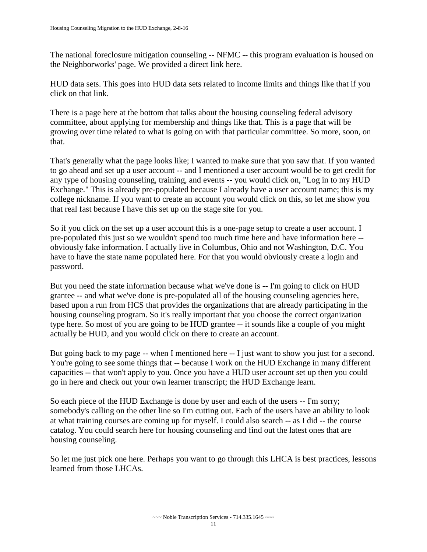The national foreclosure mitigation counseling -- NFMC -- this program evaluation is housed on the Neighborworks' page. We provided a direct link here.

HUD data sets. This goes into HUD data sets related to income limits and things like that if you click on that link.

There is a page here at the bottom that talks about the housing counseling federal advisory committee, about applying for membership and things like that. This is a page that will be growing over time related to what is going on with that particular committee. So more, soon, on that.

That's generally what the page looks like; I wanted to make sure that you saw that. If you wanted to go ahead and set up a user account -- and I mentioned a user account would be to get credit for any type of housing counseling, training, and events -- you would click on, "Log in to my HUD Exchange." This is already pre-populated because I already have a user account name; this is my college nickname. If you want to create an account you would click on this, so let me show you that real fast because I have this set up on the stage site for you.

So if you click on the set up a user account this is a one-page setup to create a user account. I pre-populated this just so we wouldn't spend too much time here and have information here - obviously fake information. I actually live in Columbus, Ohio and not Washington, D.C. You have to have the state name populated here. For that you would obviously create a login and password.

But you need the state information because what we've done is -- I'm going to click on HUD grantee -- and what we've done is pre-populated all of the housing counseling agencies here, based upon a run from HCS that provides the organizations that are already participating in the housing counseling program. So it's really important that you choose the correct organization type here. So most of you are going to be HUD grantee -- it sounds like a couple of you might actually be HUD, and you would click on there to create an account.

But going back to my page -- when I mentioned here -- I just want to show you just for a second. You're going to see some things that -- because I work on the HUD Exchange in many different capacities -- that won't apply to you. Once you have a HUD user account set up then you could go in here and check out your own learner transcript; the HUD Exchange learn.

So each piece of the HUD Exchange is done by user and each of the users -- I'm sorry; somebody's calling on the other line so I'm cutting out. Each of the users have an ability to look at what training courses are coming up for myself. I could also search -- as I did -- the course catalog. You could search here for housing counseling and find out the latest ones that are housing counseling.

So let me just pick one here. Perhaps you want to go through this LHCA is best practices, lessons learned from those LHCAs.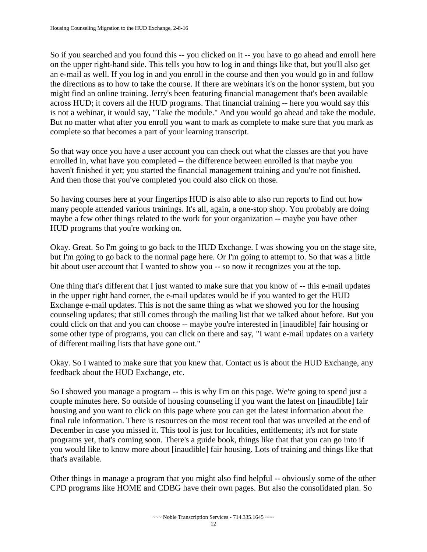So if you searched and you found this -- you clicked on it -- you have to go ahead and enroll here on the upper right-hand side. This tells you how to log in and things like that, but you'll also get an e-mail as well. If you log in and you enroll in the course and then you would go in and follow the directions as to how to take the course. If there are webinars it's on the honor system, but you might find an online training. Jerry's been featuring financial management that's been available across HUD; it covers all the HUD programs. That financial training -- here you would say this is not a webinar, it would say, "Take the module." And you would go ahead and take the module. But no matter what after you enroll you want to mark as complete to make sure that you mark as complete so that becomes a part of your learning transcript.

So that way once you have a user account you can check out what the classes are that you have enrolled in, what have you completed -- the difference between enrolled is that maybe you haven't finished it yet; you started the financial management training and you're not finished. And then those that you've completed you could also click on those.

So having courses here at your fingertips HUD is also able to also run reports to find out how many people attended various trainings. It's all, again, a one-stop shop. You probably are doing maybe a few other things related to the work for your organization -- maybe you have other HUD programs that you're working on.

Okay. Great. So I'm going to go back to the HUD Exchange. I was showing you on the stage site, but I'm going to go back to the normal page here. Or I'm going to attempt to. So that was a little bit about user account that I wanted to show you -- so now it recognizes you at the top.

One thing that's different that I just wanted to make sure that you know of -- this e-mail updates in the upper right hand corner, the e-mail updates would be if you wanted to get the HUD Exchange e-mail updates. This is not the same thing as what we showed you for the housing counseling updates; that still comes through the mailing list that we talked about before. But you could click on that and you can choose -- maybe you're interested in [inaudible] fair housing or some other type of programs, you can click on there and say, "I want e-mail updates on a variety of different mailing lists that have gone out."

Okay. So I wanted to make sure that you knew that. Contact us is about the HUD Exchange, any feedback about the HUD Exchange, etc.

So I showed you manage a program -- this is why I'm on this page. We're going to spend just a couple minutes here. So outside of housing counseling if you want the latest on [inaudible] fair housing and you want to click on this page where you can get the latest information about the final rule information. There is resources on the most recent tool that was unveiled at the end of December in case you missed it. This tool is just for localities, entitlements; it's not for state programs yet, that's coming soon. There's a guide book, things like that that you can go into if you would like to know more about [inaudible] fair housing. Lots of training and things like that that's available.

Other things in manage a program that you might also find helpful -- obviously some of the other CPD programs like HOME and CDBG have their own pages. But also the consolidated plan. So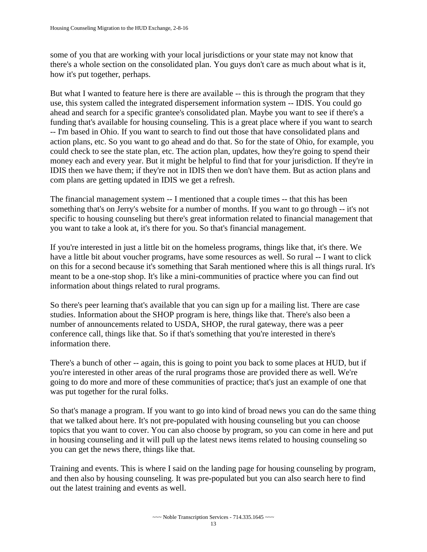some of you that are working with your local jurisdictions or your state may not know that there's a whole section on the consolidated plan. You guys don't care as much about what is it, how it's put together, perhaps.

But what I wanted to feature here is there are available -- this is through the program that they use, this system called the integrated dispersement information system -- IDIS. You could go ahead and search for a specific grantee's consolidated plan. Maybe you want to see if there's a funding that's available for housing counseling. This is a great place where if you want to search -- I'm based in Ohio. If you want to search to find out those that have consolidated plans and action plans, etc. So you want to go ahead and do that. So for the state of Ohio, for example, you could check to see the state plan, etc. The action plan, updates, how they're going to spend their money each and every year. But it might be helpful to find that for your jurisdiction. If they're in IDIS then we have them; if they're not in IDIS then we don't have them. But as action plans and com plans are getting updated in IDIS we get a refresh.

The financial management system -- I mentioned that a couple times -- that this has been something that's on Jerry's website for a number of months. If you want to go through -- it's not specific to housing counseling but there's great information related to financial management that you want to take a look at, it's there for you. So that's financial management.

If you're interested in just a little bit on the homeless programs, things like that, it's there. We have a little bit about voucher programs, have some resources as well. So rural -- I want to click on this for a second because it's something that Sarah mentioned where this is all things rural. It's meant to be a one-stop shop. It's like a mini-communities of practice where you can find out information about things related to rural programs.

So there's peer learning that's available that you can sign up for a mailing list. There are case studies. Information about the SHOP program is here, things like that. There's also been a number of announcements related to USDA, SHOP, the rural gateway, there was a peer conference call, things like that. So if that's something that you're interested in there's information there.

There's a bunch of other -- again, this is going to point you back to some places at HUD, but if you're interested in other areas of the rural programs those are provided there as well. We're going to do more and more of these communities of practice; that's just an example of one that was put together for the rural folks.

So that's manage a program. If you want to go into kind of broad news you can do the same thing that we talked about here. It's not pre-populated with housing counseling but you can choose topics that you want to cover. You can also choose by program, so you can come in here and put in housing counseling and it will pull up the latest news items related to housing counseling so you can get the news there, things like that.

Training and events. This is where I said on the landing page for housing counseling by program, and then also by housing counseling. It was pre-populated but you can also search here to find out the latest training and events as well.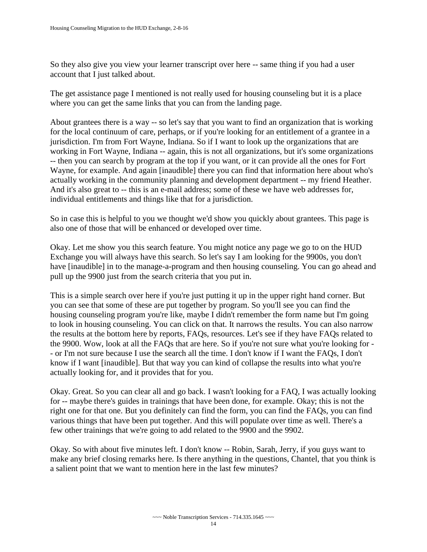So they also give you view your learner transcript over here -- same thing if you had a user account that I just talked about.

The get assistance page I mentioned is not really used for housing counseling but it is a place where you can get the same links that you can from the landing page.

About grantees there is a way -- so let's say that you want to find an organization that is working for the local continuum of care, perhaps, or if you're looking for an entitlement of a grantee in a jurisdiction. I'm from Fort Wayne, Indiana. So if I want to look up the organizations that are working in Fort Wayne, Indiana -- again, this is not all organizations, but it's some organizations -- then you can search by program at the top if you want, or it can provide all the ones for Fort Wayne, for example. And again [inaudible] there you can find that information here about who's actually working in the community planning and development department -- my friend Heather. And it's also great to -- this is an e-mail address; some of these we have web addresses for, individual entitlements and things like that for a jurisdiction.

So in case this is helpful to you we thought we'd show you quickly about grantees. This page is also one of those that will be enhanced or developed over time.

Okay. Let me show you this search feature. You might notice any page we go to on the HUD Exchange you will always have this search. So let's say I am looking for the 9900s, you don't have [inaudible] in to the manage-a-program and then housing counseling. You can go ahead and pull up the 9900 just from the search criteria that you put in.

This is a simple search over here if you're just putting it up in the upper right hand corner. But you can see that some of these are put together by program. So you'll see you can find the housing counseling program you're like, maybe I didn't remember the form name but I'm going to look in housing counseling. You can click on that. It narrows the results. You can also narrow the results at the bottom here by reports, FAQs, resources. Let's see if they have FAQs related to the 9900. Wow, look at all the FAQs that are here. So if you're not sure what you're looking for - - or I'm not sure because I use the search all the time. I don't know if I want the FAQs, I don't know if I want [inaudible]. But that way you can kind of collapse the results into what you're actually looking for, and it provides that for you.

Okay. Great. So you can clear all and go back. I wasn't looking for a FAQ, I was actually looking for -- maybe there's guides in trainings that have been done, for example. Okay; this is not the right one for that one. But you definitely can find the form, you can find the FAQs, you can find various things that have been put together. And this will populate over time as well. There's a few other trainings that we're going to add related to the 9900 and the 9902.

Okay. So with about five minutes left. I don't know -- Robin, Sarah, Jerry, if you guys want to make any brief closing remarks here. Is there anything in the questions, Chantel, that you think is a salient point that we want to mention here in the last few minutes?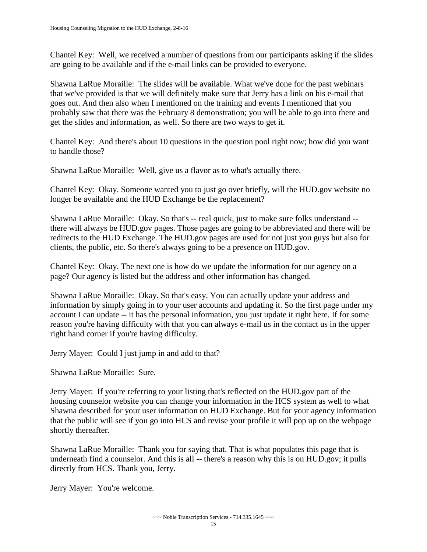Chantel Key: Well, we received a number of questions from our participants asking if the slides are going to be available and if the e-mail links can be provided to everyone.

Shawna LaRue Moraille: The slides will be available. What we've done for the past webinars that we've provided is that we will definitely make sure that Jerry has a link on his e-mail that goes out. And then also when I mentioned on the training and events I mentioned that you probably saw that there was the February 8 demonstration; you will be able to go into there and get the slides and information, as well. So there are two ways to get it.

Chantel Key: And there's about 10 questions in the question pool right now; how did you want to handle those?

Shawna LaRue Moraille: Well, give us a flavor as to what's actually there.

Chantel Key: Okay. Someone wanted you to just go over briefly, will the HUD.gov website no longer be available and the HUD Exchange be the replacement?

Shawna LaRue Moraille: Okay. So that's -- real quick, just to make sure folks understand - there will always be HUD.gov pages. Those pages are going to be abbreviated and there will be redirects to the HUD Exchange. The HUD.gov pages are used for not just you guys but also for clients, the public, etc. So there's always going to be a presence on HUD.gov.

Chantel Key: Okay. The next one is how do we update the information for our agency on a page? Our agency is listed but the address and other information has changed.

Shawna LaRue Moraille: Okay. So that's easy. You can actually update your address and information by simply going in to your user accounts and updating it. So the first page under my account I can update -- it has the personal information, you just update it right here. If for some reason you're having difficulty with that you can always e-mail us in the contact us in the upper right hand corner if you're having difficulty.

Jerry Mayer: Could I just jump in and add to that?

Shawna LaRue Moraille: Sure.

Jerry Mayer: If you're referring to your listing that's reflected on the HUD.gov part of the housing counselor website you can change your information in the HCS system as well to what Shawna described for your user information on HUD Exchange. But for your agency information that the public will see if you go into HCS and revise your profile it will pop up on the webpage shortly thereafter.

Shawna LaRue Moraille: Thank you for saying that. That is what populates this page that is underneath find a counselor. And this is all -- there's a reason why this is on HUD.gov; it pulls directly from HCS. Thank you, Jerry.

Jerry Mayer: You're welcome.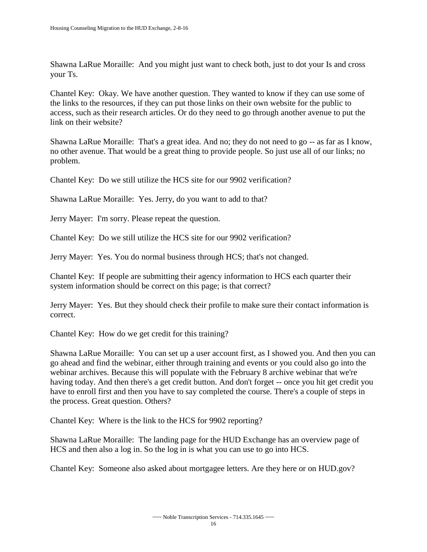Shawna LaRue Moraille: And you might just want to check both, just to dot your Is and cross your Ts.

Chantel Key: Okay. We have another question. They wanted to know if they can use some of the links to the resources, if they can put those links on their own website for the public to access, such as their research articles. Or do they need to go through another avenue to put the link on their website?

Shawna LaRue Moraille: That's a great idea. And no; they do not need to go -- as far as I know, no other avenue. That would be a great thing to provide people. So just use all of our links; no problem.

Chantel Key: Do we still utilize the HCS site for our 9902 verification?

Shawna LaRue Moraille: Yes. Jerry, do you want to add to that?

Jerry Mayer: I'm sorry. Please repeat the question.

Chantel Key: Do we still utilize the HCS site for our 9902 verification?

Jerry Mayer: Yes. You do normal business through HCS; that's not changed.

Chantel Key: If people are submitting their agency information to HCS each quarter their system information should be correct on this page; is that correct?

Jerry Mayer: Yes. But they should check their profile to make sure their contact information is correct.

Chantel Key: How do we get credit for this training?

Shawna LaRue Moraille: You can set up a user account first, as I showed you. And then you can go ahead and find the webinar, either through training and events or you could also go into the webinar archives. Because this will populate with the February 8 archive webinar that we're having today. And then there's a get credit button. And don't forget -- once you hit get credit you have to enroll first and then you have to say completed the course. There's a couple of steps in the process. Great question. Others?

Chantel Key: Where is the link to the HCS for 9902 reporting?

Shawna LaRue Moraille: The landing page for the HUD Exchange has an overview page of HCS and then also a log in. So the log in is what you can use to go into HCS.

Chantel Key: Someone also asked about mortgagee letters. Are they here or on HUD.gov?